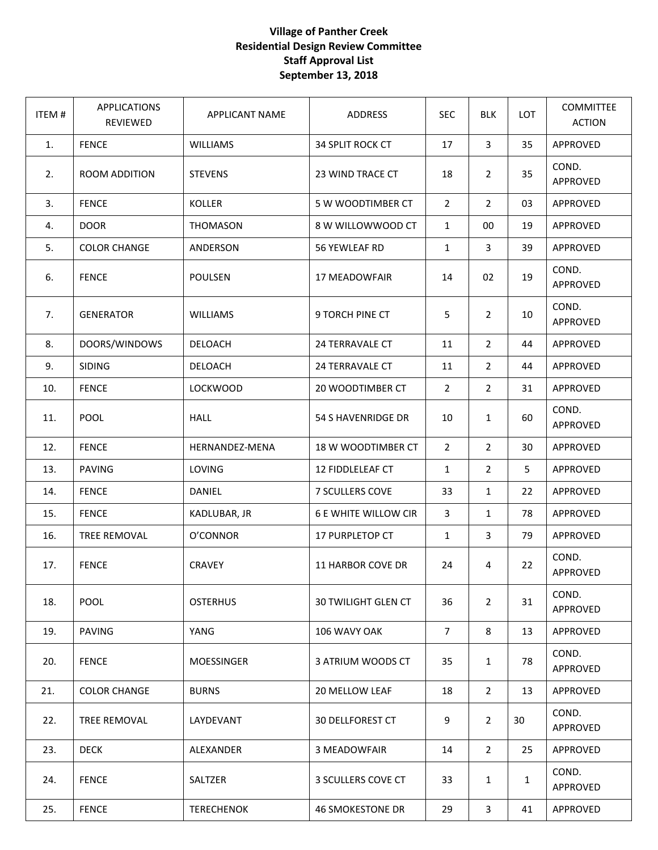## **Village of Panther Creek Residential Design Review Committee Staff Approval List September 13, 2018**

| ITEM# | <b>APPLICATIONS</b><br>REVIEWED | <b>APPLICANT NAME</b> | ADDRESS                     | <b>SEC</b>     | <b>BLK</b>     | <b>LOT</b>   | <b>COMMITTEE</b><br><b>ACTION</b> |
|-------|---------------------------------|-----------------------|-----------------------------|----------------|----------------|--------------|-----------------------------------|
| 1.    | <b>FENCE</b>                    | <b>WILLIAMS</b>       | 34 SPLIT ROCK CT            | 17             | $\overline{3}$ | 35           | APPROVED                          |
| 2.    | ROOM ADDITION                   | <b>STEVENS</b>        | 23 WIND TRACE CT            | 18             | $\overline{2}$ | 35           | COND.<br>APPROVED                 |
| 3.    | <b>FENCE</b>                    | <b>KOLLER</b>         | 5 W WOODTIMBER CT           | $\overline{2}$ | $\overline{2}$ | 03           | APPROVED                          |
| 4.    | <b>DOOR</b>                     | <b>THOMASON</b>       | 8 W WILLOWWOOD CT           | $\mathbf{1}$   | 00             | 19           | APPROVED                          |
| 5.    | <b>COLOR CHANGE</b>             | ANDERSON              | 56 YEWLEAF RD               | $\mathbf{1}$   | $\overline{3}$ | 39           | APPROVED                          |
| 6.    | <b>FENCE</b>                    | <b>POULSEN</b>        | 17 MEADOWFAIR               | 14             | 02             | 19           | COND.<br>APPROVED                 |
| 7.    | <b>GENERATOR</b>                | <b>WILLIAMS</b>       | 9 TORCH PINE CT             | 5              | $\overline{2}$ | 10           | COND.<br>APPROVED                 |
| 8.    | DOORS/WINDOWS                   | <b>DELOACH</b>        | <b>24 TERRAVALE CT</b>      | 11             | $\overline{2}$ | 44           | APPROVED                          |
| 9.    | <b>SIDING</b>                   | DELOACH               | 24 TERRAVALE CT             | 11             | $\overline{2}$ | 44           | APPROVED                          |
| 10.   | <b>FENCE</b>                    | <b>LOCKWOOD</b>       | 20 WOODTIMBER CT            | $\overline{2}$ | $\overline{2}$ | 31           | APPROVED                          |
| 11.   | POOL                            | <b>HALL</b>           | 54 S HAVENRIDGE DR          | 10             | $\mathbf{1}$   | 60           | COND.<br>APPROVED                 |
| 12.   | <b>FENCE</b>                    | HERNANDEZ-MENA        | 18 W WOODTIMBER CT          | $\overline{2}$ | $\overline{2}$ | 30           | APPROVED                          |
| 13.   | <b>PAVING</b>                   | LOVING                | 12 FIDDLELEAF CT            | $\mathbf{1}$   | $\overline{2}$ | 5            | APPROVED                          |
| 14.   | <b>FENCE</b>                    | DANIEL                | 7 SCULLERS COVE             | 33             | $\mathbf{1}$   | 22           | APPROVED                          |
| 15.   | <b>FENCE</b>                    | KADLUBAR, JR          | <b>6 E WHITE WILLOW CIR</b> | 3              | $\mathbf{1}$   | 78           | APPROVED                          |
| 16.   | <b>TREE REMOVAL</b>             | O'CONNOR              | 17 PURPLETOP CT             | $\mathbf{1}$   | $\mathbf{3}$   | 79           | APPROVED                          |
| 17.   | <b>FENCE</b>                    | <b>CRAVEY</b>         | 11 HARBOR COVE DR           | 24             | 4              | 22           | COND.<br>APPROVED                 |
| 18.   | <b>POOL</b>                     | <b>OSTERHUS</b>       | <b>30 TWILIGHT GLEN CT</b>  | 36             | $\overline{2}$ | 31           | COND.<br>APPROVED                 |
| 19.   | <b>PAVING</b>                   | YANG                  | 106 WAVY OAK                | $\overline{7}$ | 8              | 13           | APPROVED                          |
| 20.   | <b>FENCE</b>                    | <b>MOESSINGER</b>     | 3 ATRIUM WOODS CT           | 35             | $\mathbf{1}$   | 78           | COND.<br>APPROVED                 |
| 21.   | <b>COLOR CHANGE</b>             | <b>BURNS</b>          | 20 MELLOW LEAF              | 18             | $\overline{2}$ | 13           | APPROVED                          |
| 22.   | TREE REMOVAL                    | LAYDEVANT             | <b>30 DELLFOREST CT</b>     | 9              | $\overline{2}$ | 30           | COND.<br>APPROVED                 |
| 23.   | <b>DECK</b>                     | ALEXANDER             | 3 MEADOWFAIR                | 14             | $\overline{2}$ | 25           | APPROVED                          |
| 24.   | <b>FENCE</b>                    | SALTZER               | 3 SCULLERS COVE CT          | 33             | $\mathbf{1}$   | $\mathbf{1}$ | COND.<br>APPROVED                 |
| 25.   | <b>FENCE</b>                    | <b>TERECHENOK</b>     | <b>46 SMOKESTONE DR</b>     | 29             | $\mathbf{3}$   | 41           | APPROVED                          |